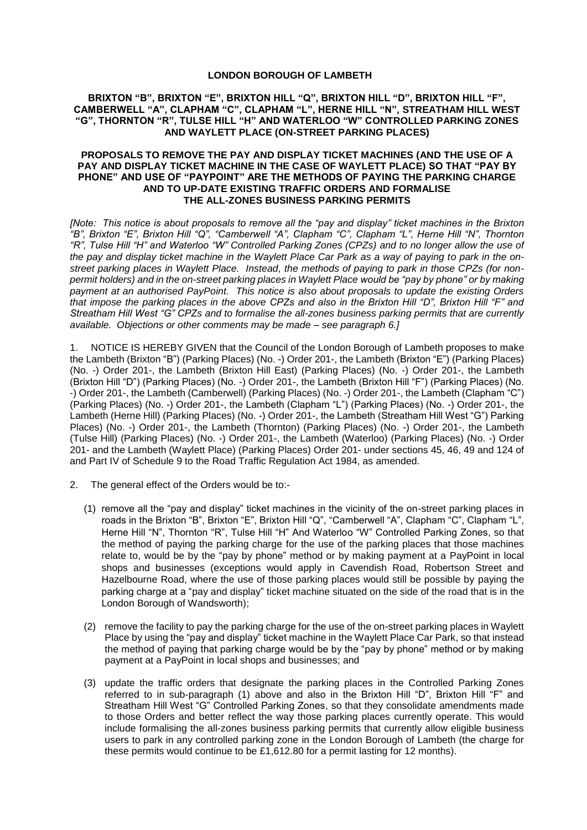## **LONDON BOROUGH OF LAMBETH**

## **BRIXTON "B", BRIXTON "E", BRIXTON HILL "Q", BRIXTON HILL "D", BRIXTON HILL "F", CAMBERWELL "A", CLAPHAM "C", CLAPHAM "L", HERNE HILL "N", STREATHAM HILL WEST "G", THORNTON "R", TULSE HILL "H" AND WATERLOO "W" CONTROLLED PARKING ZONES AND WAYLETT PLACE (ON-STREET PARKING PLACES)**

## **PROPOSALS TO REMOVE THE PAY AND DISPLAY TICKET MACHINES (AND THE USE OF A PAY AND DISPLAY TICKET MACHINE IN THE CASE OF WAYLETT PLACE) SO THAT "PAY BY PHONE" AND USE OF "PAYPOINT" ARE THE METHODS OF PAYING THE PARKING CHARGE AND TO UP-DATE EXISTING TRAFFIC ORDERS AND FORMALISE THE ALL-ZONES BUSINESS PARKING PERMITS**

*[Note: This notice is about proposals to remove all the "pay and display" ticket machines in the Brixton "B", Brixton "E", Brixton Hill "Q", "Camberwell "A", Clapham "C", Clapham "L", Herne Hill "N", Thornton "R", Tulse Hill "H" and Waterloo "W" Controlled Parking Zones (CPZs) and to no longer allow the use of the pay and display ticket machine in the Waylett Place Car Park as a way of paying to park in the onstreet parking places in Waylett Place. Instead, the methods of paying to park in those CPZs (for nonpermit holders) and in the on-street parking places in Waylett Place would be "pay by phone" or by making payment at an authorised PayPoint. This notice is also about proposals to update the existing Orders that impose the parking places in the above CPZs and also in the Brixton Hill "D", Brixton Hill "F" and Streatham Hill West "G" CPZs and to formalise the all-zones business parking permits that are currently available. Objections or other comments may be made – see paragraph 6.]*

1. NOTICE IS HEREBY GIVEN that the Council of the London Borough of Lambeth proposes to make the Lambeth (Brixton "B") (Parking Places) (No. -) Order 201-, the Lambeth (Brixton "E") (Parking Places) (No. -) Order 201-, the Lambeth (Brixton Hill East) (Parking Places) (No. -) Order 201-, the Lambeth (Brixton Hill "D") (Parking Places) (No. -) Order 201-, the Lambeth (Brixton Hill "F") (Parking Places) (No. -) Order 201-, the Lambeth (Camberwell) (Parking Places) (No. -) Order 201-, the Lambeth (Clapham "C") (Parking Places) (No. -) Order 201-, the Lambeth (Clapham "L") (Parking Places) (No. -) Order 201-, the Lambeth (Herne Hill) (Parking Places) (No. -) Order 201-, the Lambeth (Streatham Hill West "G") Parking Places) (No. -) Order 201-, the Lambeth (Thornton) (Parking Places) (No. -) Order 201-, the Lambeth (Tulse Hill) (Parking Places) (No. -) Order 201-, the Lambeth (Waterloo) (Parking Places) (No. -) Order 201- and the Lambeth (Waylett Place) (Parking Places) Order 201- under sections 45, 46, 49 and 124 of and Part IV of Schedule 9 to the Road Traffic Regulation Act 1984, as amended.

- 2. The general effect of the Orders would be to:-
	- (1) remove all the "pay and display" ticket machines in the vicinity of the on-street parking places in roads in the Brixton "B", Brixton "E", Brixton Hill "Q", "Camberwell "A", Clapham "C", Clapham "L", Herne Hill "N", Thornton "R", Tulse Hill "H" And Waterloo "W" Controlled Parking Zones, so that the method of paying the parking charge for the use of the parking places that those machines relate to, would be by the "pay by phone" method or by making payment at a PayPoint in local shops and businesses (exceptions would apply in Cavendish Road, Robertson Street and Hazelbourne Road, where the use of those parking places would still be possible by paying the parking charge at a "pay and display" ticket machine situated on the side of the road that is in the London Borough of Wandsworth);
	- (2) remove the facility to pay the parking charge for the use of the on-street parking places in Waylett Place by using the "pay and display" ticket machine in the Waylett Place Car Park, so that instead the method of paying that parking charge would be by the "pay by phone" method or by making payment at a PayPoint in local shops and businesses; and
	- (3) update the traffic orders that designate the parking places in the Controlled Parking Zones referred to in sub-paragraph (1) above and also in the Brixton Hill "D", Brixton Hill "F" and Streatham Hill West "G" Controlled Parking Zones, so that they consolidate amendments made to those Orders and better reflect the way those parking places currently operate. This would include formalising the all-zones business parking permits that currently allow eligible business users to park in any controlled parking zone in the London Borough of Lambeth (the charge for these permits would continue to be £1,612.80 for a permit lasting for 12 months).